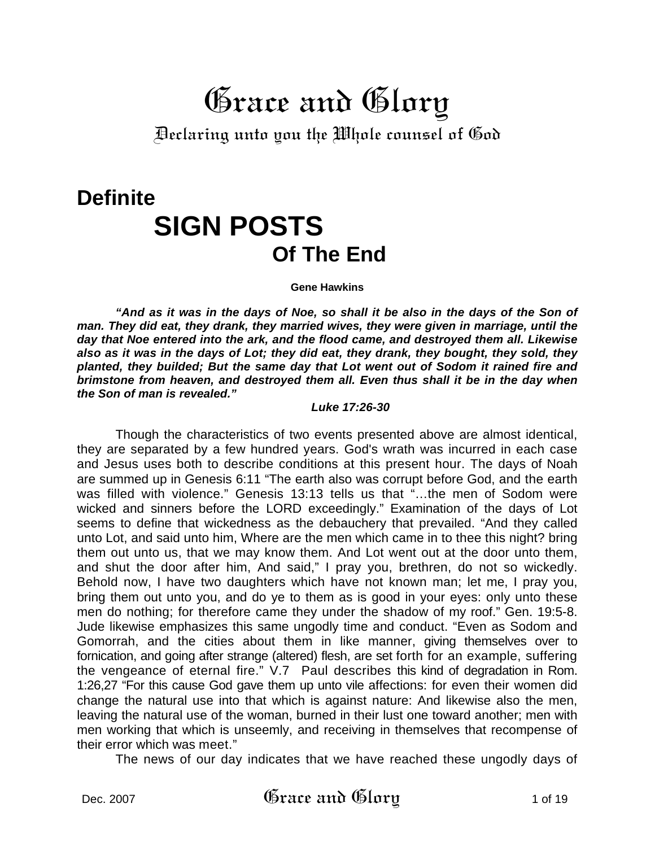## Grace and Glory

Declaring unto you the Whole counsel of God

# **Definite SIGN POSTS<br>Of The End**

**Gene Hawkins** 

"And as it was in the days of Noe, so shall it be also in the days of the Son of *man. They did eat, they drank, they married wives, they were given in marriage, until the day that Noe entered into the ark, and the flood came, and destroyed them all. Likewise also as it was in the days of Lot; they did eat, they drank, they bought, they sold, they planted, they builded; But the same day that Lot went out of Sodom it rained fire and brimstone from heaven, and destroyed them all. Even thus shall it be in the day when the Son of man is revealed."* 

#### *Luke 17:26-30*

Though the characteristics of two events presented above are almost identical, they are separated by a few hundred years. God's wrath was incurred in each case and Jesus uses both to describe conditions at this present hour. The days of Noah are summed up in Genesis 6:11 "The earth also was corrupt before God, and the earth was filled with violence." Genesis 13:13 tells us that "…the men of Sodom were wicked and sinners before the LORD exceedingly." Examination of the days of Lot seems to define that wickedness as the debauchery that prevailed. "And they called unto Lot, and said unto him, Where are the men which came in to thee this night? bring them out unto us, that we may know them. And Lot went out at the door unto them, and shut the door after him, And said," I pray you, brethren, do not so wickedly. Behold now, I have two daughters which have not known man; let me, I pray you, bring them out unto you, and do ye to them as is good in your eyes: only unto these men do nothing; for therefore came they under the shadow of my roof." Gen. 19:5-8. Jude likewise emphasizes this same ungodly time and conduct. "Even as Sodom and Gomorrah, and the cities about them in like manner, giving themselves over to fornication, and going after strange (altered) flesh, are set forth for an example, suffering the vengeance of eternal fire." V.7 Paul describes this kind of degradation in Rom. 1:26,27 "For this cause God gave them up unto vile affections: for even their women did change the natural use into that which is against nature: And likewise also the men, leaving the natural use of the woman, burned in their lust one toward another; men with men working that which is unseemly, and receiving in themselves that recompense of their error which was meet."

The news of our day indicates that we have reached these ungodly days of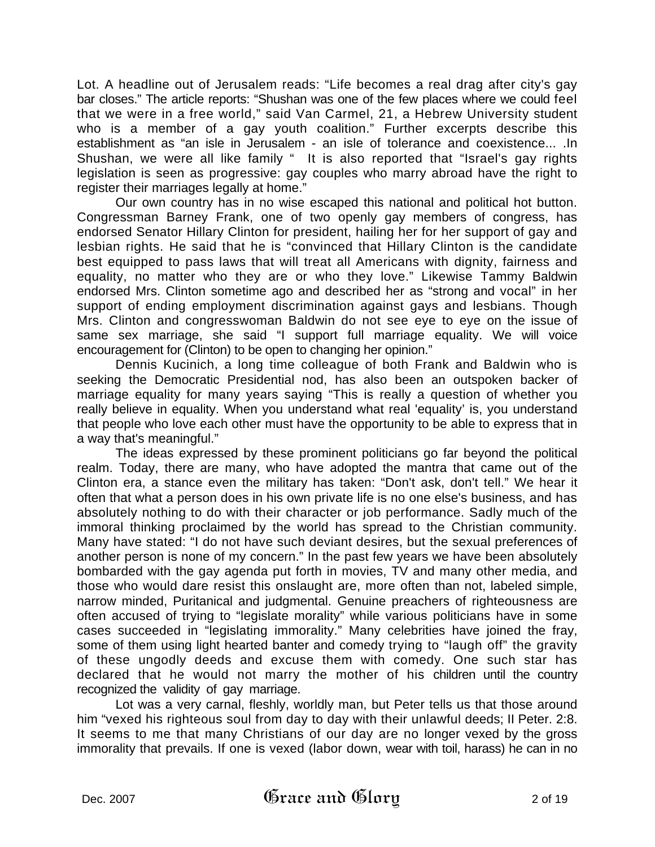Lot. A headline out of Jerusalem reads: "Life becomes a real drag after city's gay bar closes." The article reports: "Shushan was one of the few places where we could feel that we were in a free world," said Van Carmel, 21, a Hebrew University student who is a member of a gay youth coalition." Further excerpts describe this establishment as "an isle in Jerusalem - an isle of tolerance and coexistence... .In Shushan, we were all like family " It is also reported that "Israel's gay rights legislation is seen as progressive: gay couples who marry abroad have the right to register their marriages legally at home."

Our own country has in no wise escaped this national and political hot button. Congressman Barney Frank, one of two openly gay members of congress, has endorsed Senator Hillary Clinton for president, hailing her for her support of gay and lesbian rights. He said that he is "convinced that Hillary Clinton is the candidate best equipped to pass laws that will treat all Americans with dignity, fairness and equality, no matter who they are or who they love." Likewise Tammy Baldwin endorsed Mrs. Clinton sometime ago and described her as "strong and vocal" in her support of ending employment discrimination against gays and lesbians. Though Mrs. Clinton and congresswoman Baldwin do not see eye to eye on the issue of same sex marriage, she said "I support full marriage equality. We will voice encouragement for (Clinton) to be open to changing her opinion."

Dennis Kucinich, a long time colleague of both Frank and Baldwin who is seeking the Democratic Presidential nod, has also been an outspoken backer of marriage equality for many years saying "This is really a question of whether you really believe in equality. When you understand what real 'equality' is, you understand that people who love each other must have the opportunity to be able to express that in a way that's meaningful."

The ideas expressed by these prominent politicians go far beyond the political realm. Today, there are many, who have adopted the mantra that came out of the Clinton era, a stance even the military has taken: "Don't ask, don't tell." We hear it often that what a person does in his own private life is no one else's business, and has absolutely nothing to do with their character or job performance. Sadly much of the immoral thinking proclaimed by the world has spread to the Christian community. Many have stated: "I do not have such deviant desires, but the sexual preferences of another person is none of my concern." In the past few years we have been absolutely bombarded with the gay agenda put forth in movies, TV and many other media, and those who would dare resist this onslaught are, more often than not, labeled simple, narrow minded, Puritanical and judgmental. Genuine preachers of righteousness are often accused of trying to "legislate morality" while various politicians have in some cases succeeded in "legislating immorality." Many celebrities have joined the fray, some of them using light hearted banter and comedy trying to "laugh off" the gravity of these ungodly deeds and excuse them with comedy. One such star has declared that he would not marry the mother of his children until the country recognized the validity of gay marriage.

Lot was a very carnal, fleshly, worldly man, but Peter tells us that those around him "vexed his righteous soul from day to day with their unlawful deeds; II Peter. 2:8. It seems to me that many Christians of our day are no longer vexed by the gross immorality that prevails. If one is vexed (labor down, wear with toil, harass) he can in no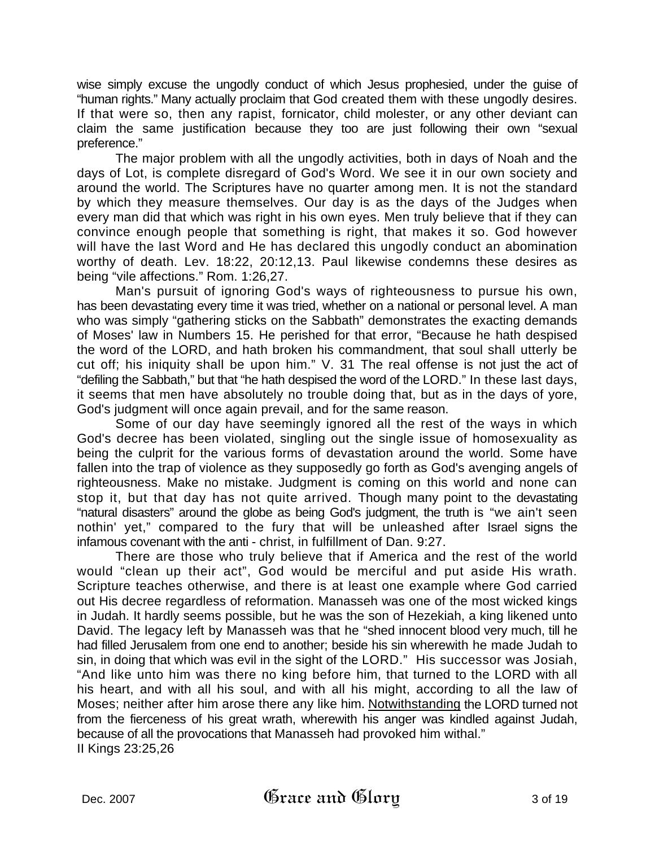wise simply excuse the ungodly conduct of which Jesus prophesied, under the guise of "human rights." Many actually proclaim that God created them with these ungodly desires. If that were so, then any rapist, fornicator, child molester, or any other deviant can claim the same justification because they too are just following their own "sexual preference."

The major problem with all the ungodly activities, both in days of Noah and the days of Lot, is complete disregard of God's Word. We see it in our own society and around the world. The Scriptures have no quarter among men. It is not the standard by which they measure themselves. Our day is as the days of the Judges when every man did that which was right in his own eyes. Men truly believe that if they can convince enough people that something is right, that makes it so. God however will have the last Word and He has declared this ungodly conduct an abomination worthy of death. Lev. 18:22, 20:12,13. Paul likewise condemns these desires as being "vile affections." Rom. 1:26,27.

Man's pursuit of ignoring God's ways of righteousness to pursue his own, has been devastating every time it was tried, whether on a national or personal level. A man who was simply "gathering sticks on the Sabbath" demonstrates the exacting demands of Moses' law in Numbers 15. He perished for that error, "Because he hath despised the word of the LORD, and hath broken his commandment, that soul shall utterly be cut off; his iniquity shall be upon him." V. 31 The real offense is not just the act of "defiling the Sabbath," but that "he hath despised the word of the LORD." In these last days, it seems that men have absolutely no trouble doing that, but as in the days of yore, God's judgment will once again prevail, and for the same reason.

Some of our day have seemingly ignored all the rest of the ways in which God's decree has been violated, singling out the single issue of homosexuality as being the culprit for the various forms of devastation around the world. Some have fallen into the trap of violence as they supposedly go forth as God's avenging angels of righteousness. Make no mistake. Judgment is coming on this world and none can stop it, but that day has not quite arrived. Though many point to the devastating "natural disasters" around the globe as being God's judgment, the truth is "we ain't seen nothin' yet," compared to the fury that will be unleashed after Israel signs the infamous covenant with the anti - christ, in fulfillment of Dan. 9:27.

There are those who truly believe that if America and the rest of the world would "clean up their act", God would be merciful and put aside His wrath. Scripture teaches otherwise, and there is at least one example where God carried out His decree regardless of reformation. Manasseh was one of the most wicked kings in Judah. It hardly seems possible, but he was the son of Hezekiah, a king likened unto David. The legacy left by Manasseh was that he "shed innocent blood very much, till he had filled Jerusalem from one end to another; beside his sin wherewith he made Judah to sin, in doing that which was evil in the sight of the LORD." His successor was Josiah, "And like unto him was there no king before him, that turned to the LORD with all his heart, and with all his soul, and with all his might, according to all the law of Moses; neither after him arose there any like him. Notwithstanding the LORD turned not from the fierceness of his great wrath, wherewith his anger was kindled against Judah, because of all the provocations that Manasseh had provoked him withal." II Kings 23:25,26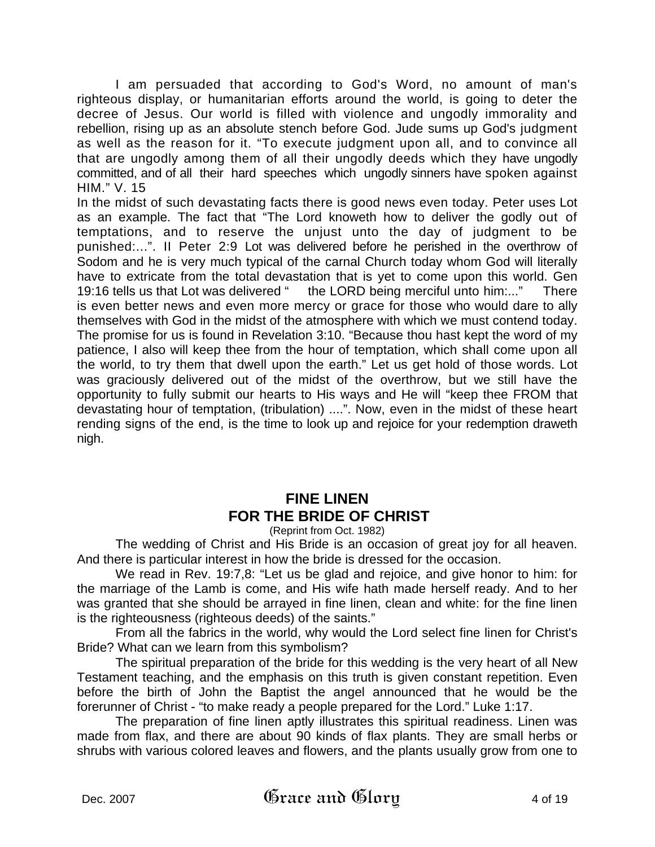I am persuaded that according to God's Word, no amount of man's righteous display, or humanitarian efforts around the world, is going to deter the decree of Jesus. Our world is filled with violence and ungodly immorality and rebellion, rising up as an absolute stench before God. Jude sums up God's judgment as well as the reason for it. "To execute judgment upon all, and to convince all that are ungodly among them of all their ungodly deeds which they have ungodly committed, and of all their hard speeches which ungodly sinners have spoken against HIM." V. 15

In the midst of such devastating facts there is good news even today. Peter uses Lot as an example. The fact that "The Lord knoweth how to deliver the godly out of temptations, and to reserve the unjust unto the day of judgment to be punished:...". II Peter 2:9 Lot was delivered before he perished in the overthrow of Sodom and he is very much typical of the carnal Church today whom God will literally have to extricate from the total devastation that is yet to come upon this world. Gen 19:16 tells us that Lot was delivered " the LORD being merciful unto him:..." There is even better news and even more mercy or grace for those who would dare to ally themselves with God in the midst of the atmosphere with which we must contend today. The promise for us is found in Revelation 3:10. "Because thou hast kept the word of my patience, I also will keep thee from the hour of temptation, which shall come upon all the world, to try them that dwell upon the earth." Let us get hold of those words. Lot was graciously delivered out of the midst of the overthrow, but we still have the opportunity to fully submit our hearts to His ways and He will "keep thee FROM that devastating hour of temptation, (tribulation) ....". Now, even in the midst of these heart rending signs of the end, is the time to look up and rejoice for your redemption draweth nigh.

## **FINE LINEN FOR THE BRIDE OF CHRIST**

(Reprint from Oct. 1982)

The wedding of Christ and His Bride is an occasion of great joy for all heaven. And there is particular interest in how the bride is dressed for the occasion.

 We read in Rev. 19:7,8: "Let us be glad and rejoice, and give honor to him: for the marriage of the Lamb is come, and His wife hath made herself ready. And to her was granted that she should be arrayed in fine linen, clean and white: for the fine linen is the righteousness (righteous deeds) of the saints."

 From all the fabrics in the world, why would the Lord select fine linen for Christ's Bride? What can we learn from this symbolism?

The spiritual preparation of the bride for this wedding is the very heart of all New Testament teaching, and the emphasis on this truth is given constant repetition. Even before the birth of John the Baptist the angel announced that he would be the forerunner of Christ - "to make ready a people prepared for the Lord." Luke 1:17.

The preparation of fine linen aptly illustrates this spiritual readiness. Linen was made from flax, and there are about 90 kinds of flax plants. They are small herbs or shrubs with various colored leaves and flowers, and the plants usually grow from one to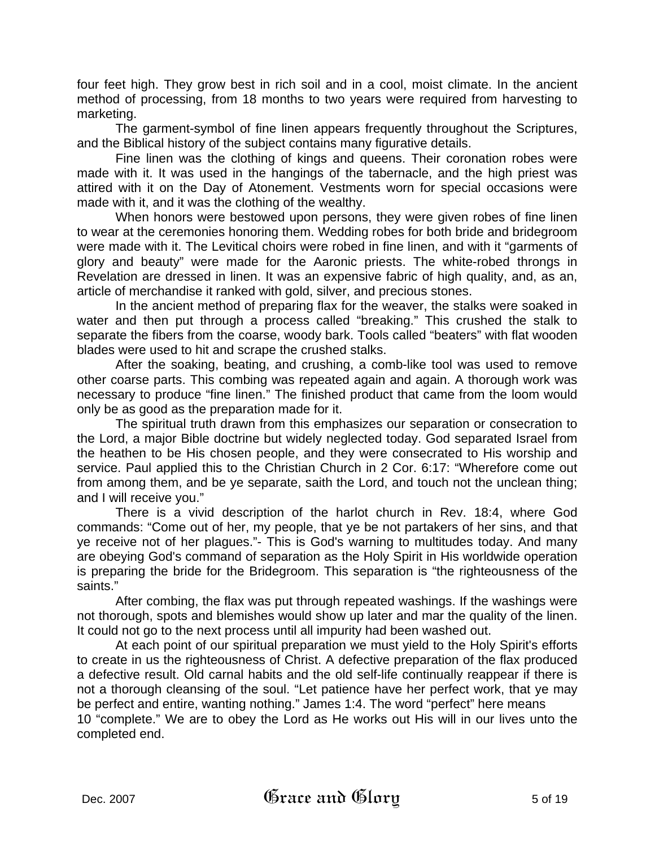four feet high. They grow best in rich soil and in a cool, moist climate. In the ancient method of processing, from 18 months to two years were required from harvesting to marketing.

The garment-symbol of fine linen appears frequently throughout the Scriptures, and the Biblical history of the subject contains many figurative details.

Fine linen was the clothing of kings and queens. Their coronation robes were made with it. It was used in the hangings of the tabernacle, and the high priest was attired with it on the Day of Atonement. Vestments worn for special occasions were made with it, and it was the clothing of the wealthy.

When honors were bestowed upon persons, they were given robes of fine linen to wear at the ceremonies honoring them. Wedding robes for both bride and bridegroom were made with it. The Levitical choirs were robed in fine linen, and with it "garments of glory and beauty" were made for the Aaronic priests. The white-robed throngs in Revelation are dressed in linen. It was an expensive fabric of high quality, and, as an, article of merchandise it ranked with gold, silver, and precious stones.

In the ancient method of preparing flax for the weaver, the stalks were soaked in water and then put through a process called "breaking." This crushed the stalk to separate the fibers from the coarse, woody bark. Tools called "beaters" with flat wooden blades were used to hit and scrape the crushed stalks.

After the soaking, beating, and crushing, a comb-like tool was used to remove other coarse parts. This combing was repeated again and again. A thorough work was necessary to produce "fine linen." The finished product that came from the loom would only be as good as the preparation made for it.

The spiritual truth drawn from this emphasizes our separation or consecration to the Lord, a major Bible doctrine but widely neglected today. God separated Israel from the heathen to be His chosen people, and they were consecrated to His worship and service. Paul applied this to the Christian Church in 2 Cor. 6:17: "Wherefore come out from among them, and be ye separate, saith the Lord, and touch not the unclean thing; and I will receive you."

There is a vivid description of the harlot church in Rev. 18:4, where God commands: "Come out of her, my people, that ye be not partakers of her sins, and that ye receive not of her plagues."- This is God's warning to multitudes today. And many are obeying God's command of separation as the Holy Spirit in His worldwide operation is preparing the bride for the Bridegroom. This separation is "the righteousness of the saints."

After combing, the flax was put through repeated washings. If the washings were not thorough, spots and blemishes would show up later and mar the quality of the linen. It could not go to the next process until all impurity had been washed out.

At each point of our spiritual preparation we must yield to the Holy Spirit's efforts to create in us the righteousness of Christ. A defective preparation of the flax produced a defective result. Old carnal habits and the old self-life continually reappear if there is not a thorough cleansing of the soul. "Let patience have her perfect work, that ye may be perfect and entire, wanting nothing." James 1:4. The word "perfect" here means 10 "complete." We are to obey the Lord as He works out His will in our lives unto the completed end.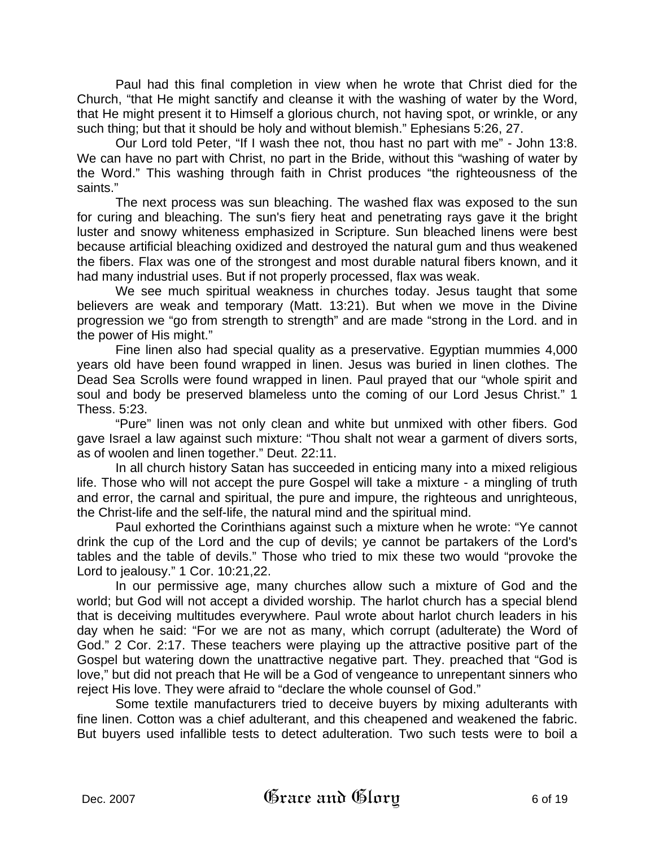Paul had this final completion in view when he wrote that Christ died for the Church, "that He might sanctify and cleanse it with the washing of water by the Word, that He might present it to Himself a glorious church, not having spot, or wrinkle, or any such thing; but that it should be holy and without blemish." Ephesians 5:26, 27.

Our Lord told Peter, "If I wash thee not, thou hast no part with me" - John 13:8. We can have no part with Christ, no part in the Bride, without this "washing of water by the Word." This washing through faith in Christ produces "the righteousness of the saints."

The next process was sun bleaching. The washed flax was exposed to the sun for curing and bleaching. The sun's fiery heat and penetrating rays gave it the bright luster and snowy whiteness emphasized in Scripture. Sun bleached linens were best because artificial bleaching oxidized and destroyed the natural gum and thus weakened the fibers. Flax was one of the strongest and most durable natural fibers known, and it had many industrial uses. But if not properly processed, flax was weak.

We see much spiritual weakness in churches today. Jesus taught that some believers are weak and temporary (Matt. 13:21). But when we move in the Divine progression we "go from strength to strength" and are made "strong in the Lord. and in the power of His might."

Fine linen also had special quality as a preservative. Egyptian mummies 4,000 years old have been found wrapped in linen. Jesus was buried in linen clothes. The Dead Sea Scrolls were found wrapped in linen. Paul prayed that our "whole spirit and soul and body be preserved blameless unto the coming of our Lord Jesus Christ." 1 Thess. 5:23.

"Pure" linen was not only clean and white but unmixed with other fibers. God gave Israel a law against such mixture: "Thou shalt not wear a garment of divers sorts, as of woolen and linen together." Deut. 22:11.

In all church history Satan has succeeded in enticing many into a mixed religious life. Those who will not accept the pure Gospel will take a mixture - a mingling of truth and error, the carnal and spiritual, the pure and impure, the righteous and unrighteous, the Christ-life and the self-life, the natural mind and the spiritual mind.

Paul exhorted the Corinthians against such a mixture when he wrote: "Ye cannot drink the cup of the Lord and the cup of devils; ye cannot be partakers of the Lord's tables and the table of devils." Those who tried to mix these two would "provoke the Lord to jealousy." 1 Cor. 10:21,22.

In our permissive age, many churches allow such a mixture of God and the world; but God will not accept a divided worship. The harlot church has a special blend that is deceiving multitudes everywhere. Paul wrote about harlot church leaders in his day when he said: "For we are not as many, which corrupt (adulterate) the Word of God." 2 Cor. 2:17. These teachers were playing up the attractive positive part of the Gospel but watering down the unattractive negative part. They. preached that "God is love," but did not preach that He will be a God of vengeance to unrepentant sinners who reject His love. They were afraid to "declare the whole counsel of God."

Some textile manufacturers tried to deceive buyers by mixing adulterants with fine linen. Cotton was a chief adulterant, and this cheapened and weakened the fabric. But buyers used infallible tests to detect adulteration. Two such tests were to boil a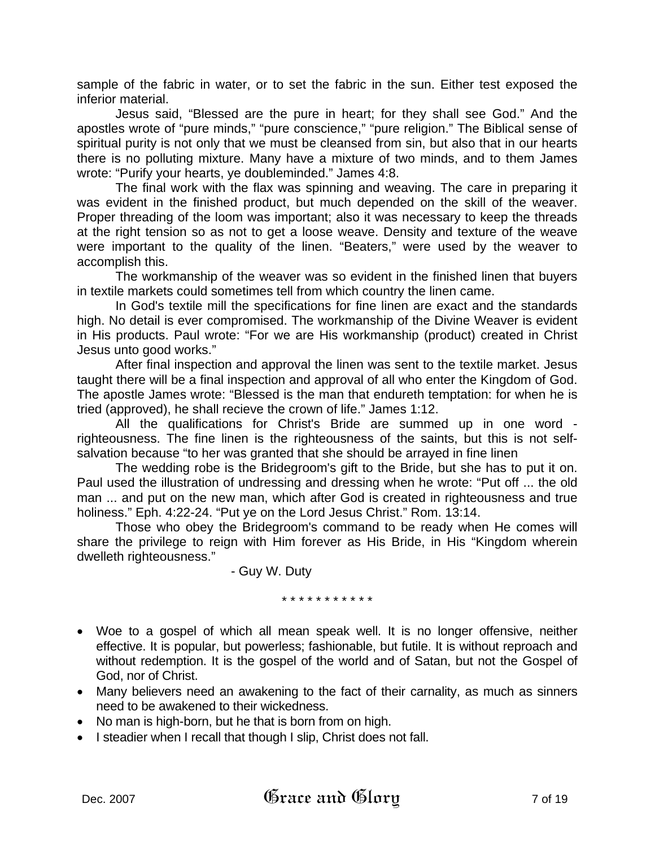sample of the fabric in water, or to set the fabric in the sun. Either test exposed the inferior material.

Jesus said, "Blessed are the pure in heart; for they shall see God." And the apostles wrote of "pure minds," "pure conscience," "pure religion." The Biblical sense of spiritual purity is not only that we must be cleansed from sin, but also that in our hearts there is no polluting mixture. Many have a mixture of two minds, and to them James wrote: "Purify your hearts, ye doubleminded." James 4:8.

The final work with the flax was spinning and weaving. The care in preparing it was evident in the finished product, but much depended on the skill of the weaver. Proper threading of the loom was important; also it was necessary to keep the threads at the right tension so as not to get a loose weave. Density and texture of the weave were important to the quality of the linen. "Beaters," were used by the weaver to accomplish this.

The workmanship of the weaver was so evident in the finished linen that buyers in textile markets could sometimes tell from which country the linen came.

In God's textile mill the specifications for fine linen are exact and the standards high. No detail is ever compromised. The workmanship of the Divine Weaver is evident in His products. Paul wrote: "For we are His workmanship (product) created in Christ Jesus unto good works."

After final inspection and approval the linen was sent to the textile market. Jesus taught there will be a final inspection and approval of all who enter the Kingdom of God. The apostle James wrote: "Blessed is the man that endureth temptation: for when he is tried (approved), he shall recieve the crown of life." James 1:12.

All the qualifications for Christ's Bride are summed up in one word righteousness. The fine linen is the righteousness of the saints, but this is not selfsalvation because "to her was granted that she should be arrayed in fine linen

The wedding robe is the Bridegroom's gift to the Bride, but she has to put it on. Paul used the illustration of undressing and dressing when he wrote: "Put off ... the old man ... and put on the new man, which after God is created in righteousness and true holiness." Eph. 4:22-24. "Put ye on the Lord Jesus Christ." Rom. 13:14.

Those who obey the Bridegroom's command to be ready when He comes will share the privilege to reign with Him forever as His Bride, in His "Kingdom wherein dwelleth righteousness."

- Guy W. Duty

\* \* \* \* \* \* \* \* \* \* \*

- Woe to a gospel of which all mean speak well. It is no longer offensive, neither effective. It is popular, but powerless; fashionable, but futile. It is without reproach and without redemption. It is the gospel of the world and of Satan, but not the Gospel of God, nor of Christ.
- Many believers need an awakening to the fact of their carnality, as much as sinners need to be awakened to their wickedness.
- No man is high-born, but he that is born from on high.
- I steadier when I recall that though I slip, Christ does not fall.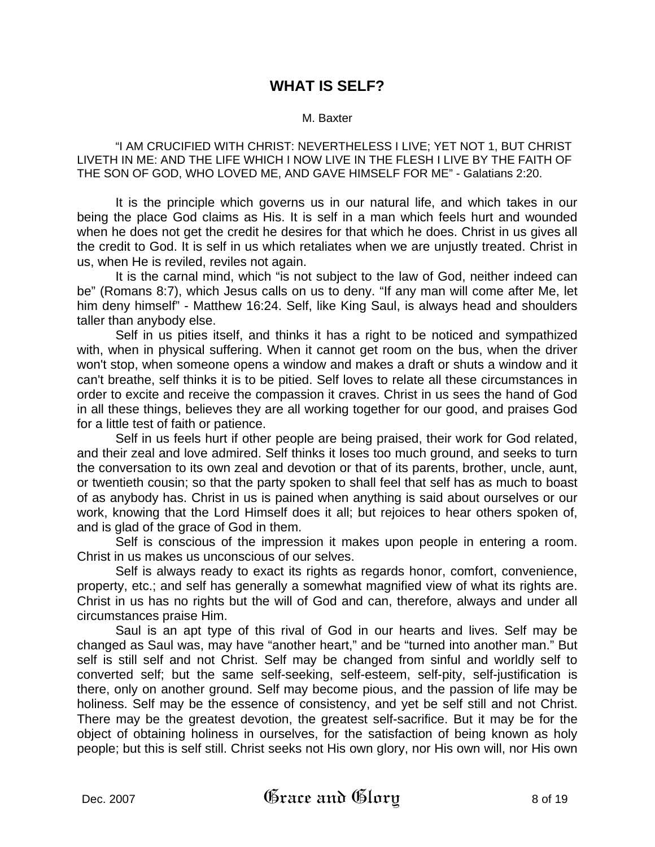## **WHAT IS SELF?**

#### M. Baxter

"I AM CRUCIFIED WITH CHRIST: NEVERTHELESS I LIVE; YET NOT 1, BUT CHRIST LIVETH IN ME: AND THE LIFE WHICH I NOW LIVE IN THE FLESH I LIVE BY THE FAITH OF THE SON OF GOD, WHO LOVED ME, AND GAVE HIMSELF FOR ME" - Galatians 2:20.

It is the principle which governs us in our natural life, and which takes in our being the place God claims as His. It is self in a man which feels hurt and wounded when he does not get the credit he desires for that which he does. Christ in us gives all the credit to God. It is self in us which retaliates when we are unjustly treated. Christ in us, when He is reviled, reviles not again.

It is the carnal mind, which "is not subject to the law of God, neither indeed can be" (Romans 8:7), which Jesus calls on us to deny. "If any man will come after Me, let him deny himself" - Matthew 16:24. Self, like King Saul, is always head and shoulders taller than anybody else.

Self in us pities itself, and thinks it has a right to be noticed and sympathized with, when in physical suffering. When it cannot get room on the bus, when the driver won't stop, when someone opens a window and makes a draft or shuts a window and it can't breathe, self thinks it is to be pitied. Self loves to relate all these circumstances in order to excite and receive the compassion it craves. Christ in us sees the hand of God in all these things, believes they are all working together for our good, and praises God for a little test of faith or patience.

Self in us feels hurt if other people are being praised, their work for God related, and their zeal and love admired. Self thinks it loses too much ground, and seeks to turn the conversation to its own zeal and devotion or that of its parents, brother, uncle, aunt, or twentieth cousin; so that the party spoken to shall feel that self has as much to boast of as anybody has. Christ in us is pained when anything is said about ourselves or our work, knowing that the Lord Himself does it all; but rejoices to hear others spoken of, and is glad of the grace of God in them.

Self is conscious of the impression it makes upon people in entering a room. Christ in us makes us unconscious of our selves.

Self is always ready to exact its rights as regards honor, comfort, convenience, property, etc.; and self has generally a somewhat magnified view of what its rights are. Christ in us has no rights but the will of God and can, therefore, always and under all circumstances praise Him.

Saul is an apt type of this rival of God in our hearts and lives. Self may be changed as Saul was, may have "another heart," and be "turned into another man." But self is still self and not Christ. Self may be changed from sinful and worldly self to converted self; but the same self-seeking, self-esteem, self-pity, self-justification is there, only on another ground. Self may become pious, and the passion of life may be holiness. Self may be the essence of consistency, and yet be self still and not Christ. There may be the greatest devotion, the greatest self-sacrifice. But it may be for the object of obtaining holiness in ourselves, for the satisfaction of being known as holy people; but this is self still. Christ seeks not His own glory, nor His own will, nor His own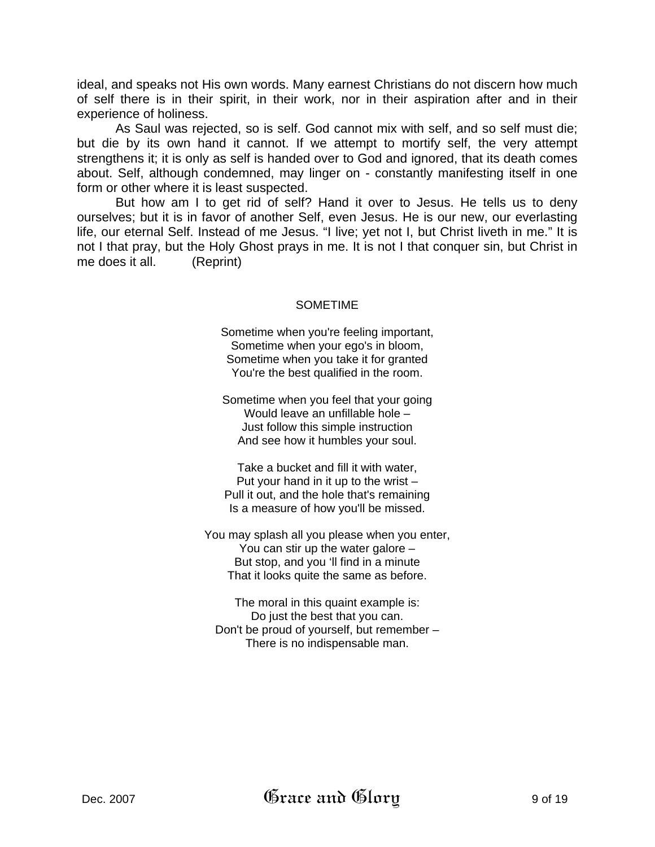ideal, and speaks not His own words. Many earnest Christians do not discern how much of self there is in their spirit, in their work, nor in their aspiration after and in their experience of holiness.

As Saul was rejected, so is self. God cannot mix with self, and so self must die; but die by its own hand it cannot. If we attempt to mortify self, the very attempt strengthens it; it is only as self is handed over to God and ignored, that its death comes about. Self, although condemned, may linger on - constantly manifesting itself in one form or other where it is least suspected.

But how am I to get rid of self? Hand it over to Jesus. He tells us to deny ourselves; but it is in favor of another Self, even Jesus. He is our new, our everlasting life, our eternal Self. Instead of me Jesus. "I live; yet not I, but Christ liveth in me." It is not I that pray, but the Holy Ghost prays in me. It is not I that conquer sin, but Christ in me does it all. (Reprint)

#### SOMETIME

Sometime when you're feeling important, Sometime when your ego's in bloom, Sometime when you take it for granted You're the best qualified in the room.

Sometime when you feel that your going Would leave an unfillable hole – Just follow this simple instruction And see how it humbles your soul.

Take a bucket and fill it with water, Put your hand in it up to the wrist – Pull it out, and the hole that's remaining Is a measure of how you'll be missed.

You may splash all you please when you enter, You can stir up the water galore – But stop, and you 'll find in a minute That it looks quite the same as before.

The moral in this quaint example is: Do just the best that you can. Don't be proud of yourself, but remember – There is no indispensable man.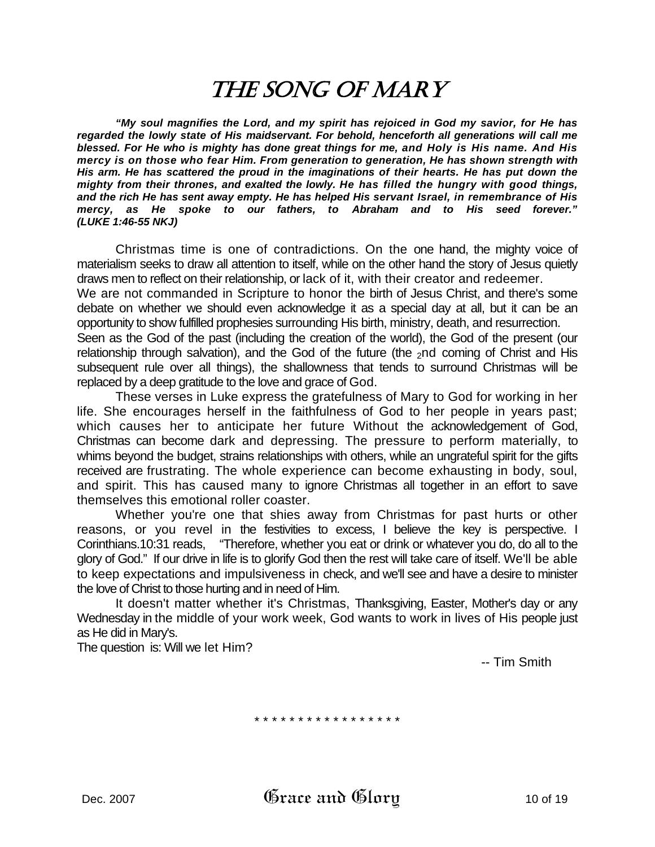## THE SONG OF MARY

 *"My soul magnifies the Lord, and my spirit has rejoiced in God my savior, for He has regarded the lowly state of His maidservant. For behold, henceforth all generations will call me blessed. For He who is mighty has done great things for me, and Holy is His name. And His mercy is on those who fear Him. From generation to generation, He has shown strength with His arm. He has scattered the proud in the imaginations of their hearts. He has put down the mighty from their thrones, and exalted the lowly. He has filled the hungry with good things, and the rich He has sent away empty. He has helped His servant Israel, in remembrance of His mercy, as He spoke to our fathers, to Abraham and to His seed forever." (LUKE 1:46-55 NKJ)* 

Christmas time is one of contradictions. On the one hand, the mighty voice of materialism seeks to draw all attention to itself, while on the other hand the story of Jesus quietly draws men to reflect on their relationship, or lack of it, with their creator and redeemer.

We are not commanded in Scripture to honor the birth of Jesus Christ, and there's some debate on whether we should even acknowledge it as a special day at all, but it can be an opportunity to show fulfilled prophesies surrounding His birth, ministry, death, and resurrection.

Seen as the God of the past (including the creation of the world), the God of the present (our relationship through salvation), and the God of the future (the  $_2$ nd coming of Christ and His subsequent rule over all things), the shallowness that tends to surround Christmas will be replaced by a deep gratitude to the love and grace of God.

These verses in Luke express the gratefulness of Mary to God for working in her life. She encourages herself in the faithfulness of God to her people in years past; which causes her to anticipate her future Without the acknowledgement of God, Christmas can become dark and depressing. The pressure to perform materially, to whims beyond the budget, strains relationships with others, while an ungrateful spirit for the gifts received are frustrating. The whole experience can become exhausting in body, soul, and spirit. This has caused many to ignore Christmas all together in an effort to save themselves this emotional roller coaster.

Whether you're one that shies away from Christmas for past hurts or other reasons, or you revel in the festivities to excess, I believe the key is perspective. I Corinthians.10:31 reads, "Therefore, whether you eat or drink or whatever you do, do all to the glory of God." If our drive in life is to glorify God then the rest will take care of itself. We'll be able to keep expectations and impulsiveness in check, and we'll see and have a desire to minister the love of Christ to those hurting and in need of Him.

It doesn't matter whether it's Christmas, Thanksgiving, Easter, Mother's day or any Wednesday in the middle of your work week, God wants to work in lives of His people just as He did in Mary's.

The question is: Will we let Him?

-- Tim Smith

\* \* \* \* \* \* \* \* \* \* \* \* \* \* \* \*

Dec. 2007  $\qquad$   $\qquad$   $\qquad$   $\qquad$   $\qquad$   $\qquad$   $\qquad$   $\qquad$   $\qquad$   $\qquad$   $\qquad$   $\qquad$   $\qquad$   $\qquad$   $\qquad$   $\qquad$   $\qquad$   $\qquad$   $\qquad$   $\qquad$   $\qquad$   $\qquad$   $\qquad$   $\qquad$   $\qquad$   $\qquad$   $\qquad$   $\qquad$   $\qquad$   $\qquad$   $\qquad$   $\qquad$   $\qquad$   $\qquad$   $\qquad$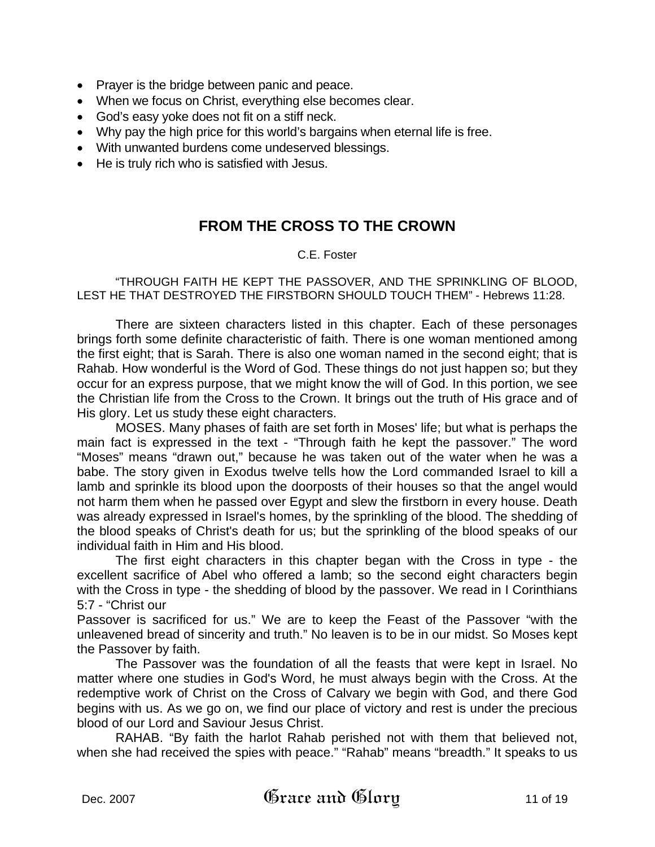- Prayer is the bridge between panic and peace.
- When we focus on Christ, everything else becomes clear.
- God's easy yoke does not fit on a stiff neck.
- Why pay the high price for this world's bargains when eternal life is free.
- With unwanted burdens come undeserved blessings.
- He is truly rich who is satisfied with Jesus.

## **FROM THE CROSS TO THE CROWN**

### C.E. Foster

"THROUGH FAITH HE KEPT THE PASSOVER, AND THE SPRINKLING OF BLOOD, LEST HE THAT DESTROYED THE FIRSTBORN SHOULD TOUCH THEM" - Hebrews 11:28.

There are sixteen characters listed in this chapter. Each of these personages brings forth some definite characteristic of faith. There is one woman mentioned among the first eight; that is Sarah. There is also one woman named in the second eight; that is Rahab. How wonderful is the Word of God. These things do not just happen so; but they occur for an express purpose, that we might know the will of God. In this portion, we see the Christian life from the Cross to the Crown. It brings out the truth of His grace and of His glory. Let us study these eight characters.

MOSES. Many phases of faith are set forth in Moses' life; but what is perhaps the main fact is expressed in the text - "Through faith he kept the passover." The word "Moses" means "drawn out," because he was taken out of the water when he was a babe. The story given in Exodus twelve tells how the Lord commanded Israel to kill a lamb and sprinkle its blood upon the doorposts of their houses so that the angel would not harm them when he passed over Egypt and slew the firstborn in every house. Death was already expressed in Israel's homes, by the sprinkling of the blood. The shedding of the blood speaks of Christ's death for us; but the sprinkling of the blood speaks of our individual faith in Him and His blood.

The first eight characters in this chapter began with the Cross in type - the excellent sacrifice of Abel who offered a lamb; so the second eight characters begin with the Cross in type - the shedding of blood by the passover. We read in I Corinthians 5:7 - "Christ our

Passover is sacrificed for us." We are to keep the Feast of the Passover "with the unleavened bread of sincerity and truth." No leaven is to be in our midst. So Moses kept the Passover by faith.

The Passover was the foundation of all the feasts that were kept in Israel. No matter where one studies in God's Word, he must always begin with the Cross. At the redemptive work of Christ on the Cross of Calvary we begin with God, and there God begins with us. As we go on, we find our place of victory and rest is under the precious blood of our Lord and Saviour Jesus Christ.

RAHAB. "By faith the harlot Rahab perished not with them that believed not, when she had received the spies with peace." "Rahab" means "breadth." It speaks to us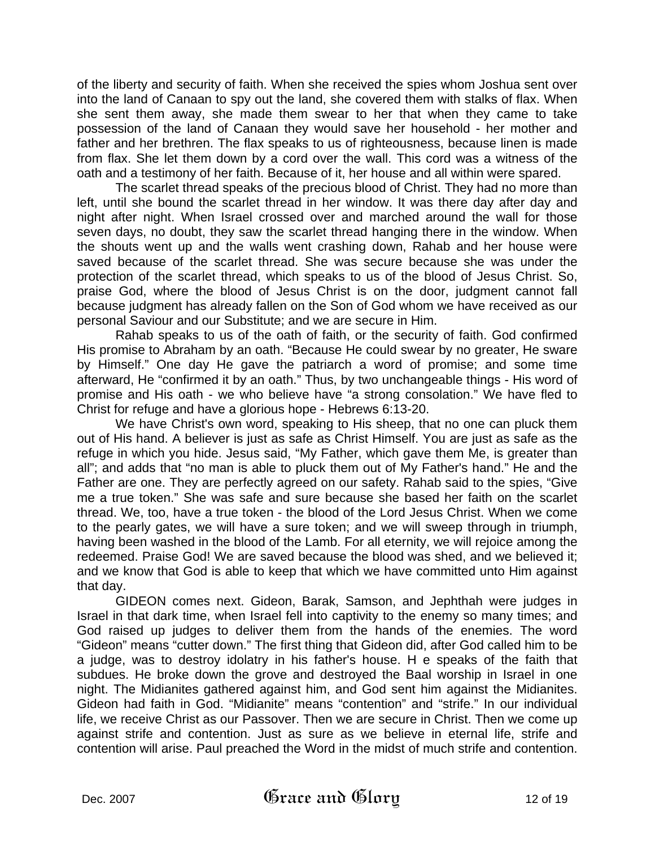of the liberty and security of faith. When she received the spies whom Joshua sent over into the land of Canaan to spy out the land, she covered them with stalks of flax. When she sent them away, she made them swear to her that when they came to take possession of the land of Canaan they would save her household - her mother and father and her brethren. The flax speaks to us of righteousness, because linen is made from flax. She let them down by a cord over the wall. This cord was a witness of the oath and a testimony of her faith. Because of it, her house and all within were spared.

The scarlet thread speaks of the precious blood of Christ. They had no more than left, until she bound the scarlet thread in her window. It was there day after day and night after night. When Israel crossed over and marched around the wall for those seven days, no doubt, they saw the scarlet thread hanging there in the window. When the shouts went up and the walls went crashing down, Rahab and her house were saved because of the scarlet thread. She was secure because she was under the protection of the scarlet thread, which speaks to us of the blood of Jesus Christ. So, praise God, where the blood of Jesus Christ is on the door, judgment cannot fall because judgment has already fallen on the Son of God whom we have received as our personal Saviour and our Substitute; and we are secure in Him.

Rahab speaks to us of the oath of faith, or the security of faith. God confirmed His promise to Abraham by an oath. "Because He could swear by no greater, He sware by Himself." One day He gave the patriarch a word of promise; and some time afterward, He "confirmed it by an oath." Thus, by two unchangeable things - His word of promise and His oath - we who believe have "a strong consolation." We have fled to Christ for refuge and have a glorious hope - Hebrews 6:13-20.

We have Christ's own word, speaking to His sheep, that no one can pluck them out of His hand. A believer is just as safe as Christ Himself. You are just as safe as the refuge in which you hide. Jesus said, "My Father, which gave them Me, is greater than all"; and adds that "no man is able to pluck them out of My Father's hand." He and the Father are one. They are perfectly agreed on our safety. Rahab said to the spies, "Give me a true token." She was safe and sure because she based her faith on the scarlet thread. We, too, have a true token - the blood of the Lord Jesus Christ. When we come to the pearly gates, we will have a sure token; and we will sweep through in triumph, having been washed in the blood of the Lamb. For all eternity, we will rejoice among the redeemed. Praise God! We are saved because the blood was shed, and we believed it; and we know that God is able to keep that which we have committed unto Him against that day.

GIDEON comes next. Gideon, Barak, Samson, and Jephthah were judges in Israel in that dark time, when Israel fell into captivity to the enemy so many times; and God raised up judges to deliver them from the hands of the enemies. The word "Gideon" means "cutter down." The first thing that Gideon did, after God called him to be a judge, was to destroy idolatry in his father's house. H e speaks of the faith that subdues. He broke down the grove and destroyed the Baal worship in Israel in one night. The Midianites gathered against him, and God sent him against the Midianites. Gideon had faith in God. "Midianite" means "contention" and "strife." In our individual life, we receive Christ as our Passover. Then we are secure in Christ. Then we come up against strife and contention. Just as sure as we believe in eternal life, strife and contention will arise. Paul preached the Word in the midst of much strife and contention.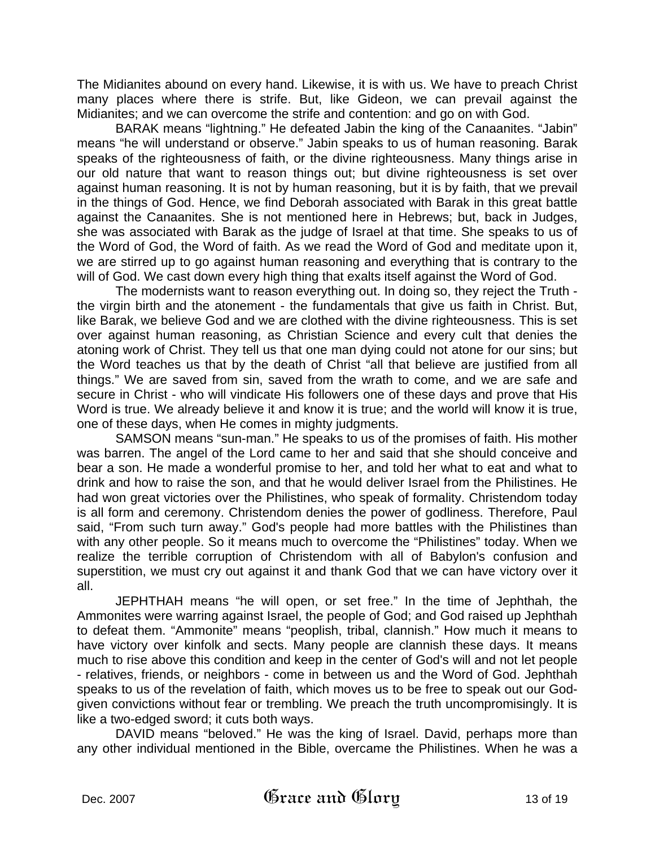The Midianites abound on every hand. Likewise, it is with us. We have to preach Christ many places where there is strife. But, like Gideon, we can prevail against the Midianites; and we can overcome the strife and contention: and go on with God.

BARAK means "lightning." He defeated Jabin the king of the Canaanites. "Jabin" means "he will understand or observe." Jabin speaks to us of human reasoning. Barak speaks of the righteousness of faith, or the divine righteousness. Many things arise in our old nature that want to reason things out; but divine righteousness is set over against human reasoning. It is not by human reasoning, but it is by faith, that we prevail in the things of God. Hence, we find Deborah associated with Barak in this great battle against the Canaanites. She is not mentioned here in Hebrews; but, back in Judges, she was associated with Barak as the judge of Israel at that time. She speaks to us of the Word of God, the Word of faith. As we read the Word of God and meditate upon it, we are stirred up to go against human reasoning and everything that is contrary to the will of God. We cast down every high thing that exalts itself against the Word of God.

The modernists want to reason everything out. In doing so, they reject the Truth the virgin birth and the atonement - the fundamentals that give us faith in Christ. But, like Barak, we believe God and we are clothed with the divine righteousness. This is set over against human reasoning, as Christian Science and every cult that denies the atoning work of Christ. They tell us that one man dying could not atone for our sins; but the Word teaches us that by the death of Christ "all that believe are justified from all things." We are saved from sin, saved from the wrath to come, and we are safe and secure in Christ - who will vindicate His followers one of these days and prove that His Word is true. We already believe it and know it is true; and the world will know it is true, one of these days, when He comes in mighty judgments.

SAMSON means "sun-man." He speaks to us of the promises of faith. His mother was barren. The angel of the Lord came to her and said that she should conceive and bear a son. He made a wonderful promise to her, and told her what to eat and what to drink and how to raise the son, and that he would deliver Israel from the Philistines. He had won great victories over the Philistines, who speak of formality. Christendom today is all form and ceremony. Christendom denies the power of godliness. Therefore, Paul said, "From such turn away." God's people had more battles with the Philistines than with any other people. So it means much to overcome the "Philistines" today. When we realize the terrible corruption of Christendom with all of Babylon's confusion and superstition, we must cry out against it and thank God that we can have victory over it all.

JEPHTHAH means "he will open, or set free." In the time of Jephthah, the Ammonites were warring against Israel, the people of God; and God raised up Jephthah to defeat them. "Ammonite" means "peoplish, tribal, clannish." How much it means to have victory over kinfolk and sects. Many people are clannish these days. It means much to rise above this condition and keep in the center of God's will and not let people - relatives, friends, or neighbors - come in between us and the Word of God. Jephthah speaks to us of the revelation of faith, which moves us to be free to speak out our Godgiven convictions without fear or trembling. We preach the truth uncompromisingly. It is like a two-edged sword; it cuts both ways.

DAVID means "beloved." He was the king of Israel. David, perhaps more than any other individual mentioned in the Bible, overcame the Philistines. When he was a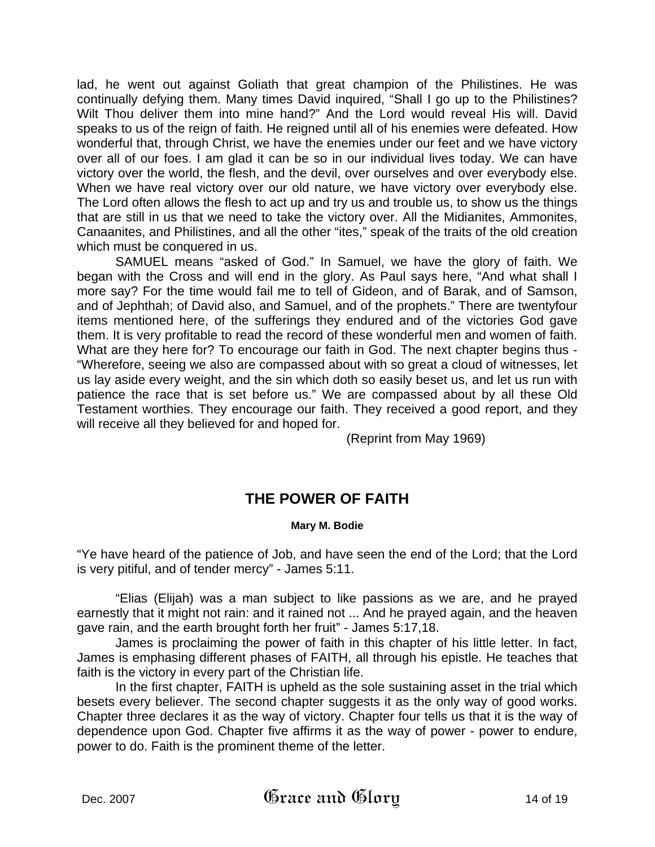lad, he went out against Goliath that great champion of the Philistines. He was continually defying them. Many times David inquired, "Shall I go up to the Philistines? Wilt Thou deliver them into mine hand?" And the Lord would reveal His will. David speaks to us of the reign of faith. He reigned until all of his enemies were defeated. How wonderful that, through Christ, we have the enemies under our feet and we have victory over all of our foes. I am glad it can be so in our individual lives today. We can have victory over the world, the flesh, and the devil, over ourselves and over everybody else. When we have real victory over our old nature, we have victory over everybody else. The Lord often allows the flesh to act up and try us and trouble us, to show us the things that are still in us that we need to take the victory over. All the Midianites, Ammonites, Canaanites, and Philistines, and all the other "ites," speak of the traits of the old creation which must be conquered in us.

SAMUEL means "asked of God." In Samuel, we have the glory of faith. We began with the Cross and will end in the glory. As Paul says here, "And what shall I more say? For the time would fail me to tell of Gideon, and of Barak, and of Samson, and of Jephthah; of David also, and Samuel, and of the prophets." There are twentyfour items mentioned here, of the sufferings they endured and of the victories God gave them. It is very profitable to read the record of these wonderful men and women of faith. What are they here for? To encourage our faith in God. The next chapter begins thus - "Wherefore, seeing we also are compassed about with so great a cloud of witnesses, let us lay aside every weight, and the sin which doth so easily beset us, and let us run with patience the race that is set before us." We are compassed about by all these Old Testament worthies. They encourage our faith. They received a good report, and they will receive all they believed for and hoped for.

(Reprint from May 1969)

## **THE POWER OF FAITH**

### **Mary M. Bodie**

"Ye have heard of the patience of Job, and have seen the end of the Lord; that the Lord is very pitiful, and of tender mercy" - James 5:11.

"Elias (Elijah) was a man subject to like passions as we are, and he prayed earnestly that it might not rain: and it rained not ... And he prayed again, and the heaven gave rain, and the earth brought forth her fruit" - James 5:17,18.

James is proclaiming the power of faith in this chapter of his little letter. In fact, James is emphasing different phases of FAITH, all through his epistle. He teaches that faith is the victory in every part of the Christian life.

In the first chapter, FAITH is upheld as the sole sustaining asset in the trial which besets every believer. The second chapter suggests it as the only way of good works. Chapter three declares it as the way of victory. Chapter four tells us that it is the way of dependence upon God. Chapter five affirms it as the way of power - power to endure, power to do. Faith is the prominent theme of the letter.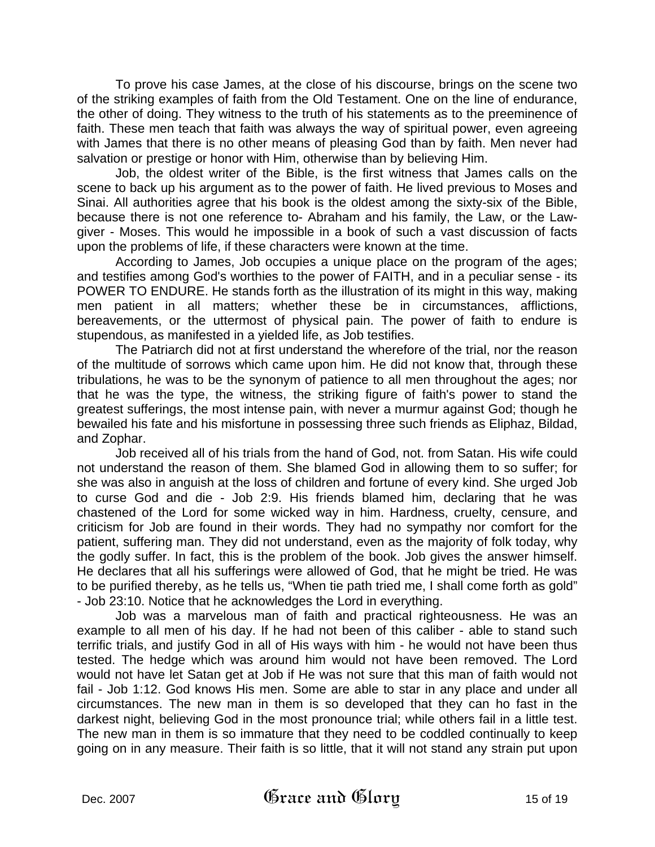To prove his case James, at the close of his discourse, brings on the scene two of the striking examples of faith from the Old Testament. One on the line of endurance, the other of doing. They witness to the truth of his statements as to the preeminence of faith. These men teach that faith was always the way of spiritual power, even agreeing with James that there is no other means of pleasing God than by faith. Men never had salvation or prestige or honor with Him, otherwise than by believing Him.

Job, the oldest writer of the Bible, is the first witness that James calls on the scene to back up his argument as to the power of faith. He lived previous to Moses and Sinai. All authorities agree that his book is the oldest among the sixty-six of the Bible, because there is not one reference to- Abraham and his family, the Law, or the Lawgiver - Moses. This would he impossible in a book of such a vast discussion of facts upon the problems of life, if these characters were known at the time.

According to James, Job occupies a unique place on the program of the ages; and testifies among God's worthies to the power of FAITH, and in a peculiar sense - its POWER TO ENDURE. He stands forth as the illustration of its might in this way, making men patient in all matters; whether these be in circumstances, afflictions, bereavements, or the uttermost of physical pain. The power of faith to endure is stupendous, as manifested in a yielded life, as Job testifies.

The Patriarch did not at first understand the wherefore of the trial, nor the reason of the multitude of sorrows which came upon him. He did not know that, through these tribulations, he was to be the synonym of patience to all men throughout the ages; nor that he was the type, the witness, the striking figure of faith's power to stand the greatest sufferings, the most intense pain, with never a murmur against God; though he bewailed his fate and his misfortune in possessing three such friends as Eliphaz, Bildad, and Zophar.

Job received all of his trials from the hand of God, not. from Satan. His wife could not understand the reason of them. She blamed God in allowing them to so suffer; for she was also in anguish at the loss of children and fortune of every kind. She urged Job to curse God and die - Job 2:9. His friends blamed him, declaring that he was chastened of the Lord for some wicked way in him. Hardness, cruelty, censure, and criticism for Job are found in their words. They had no sympathy nor comfort for the patient, suffering man. They did not understand, even as the majority of folk today, why the godly suffer. In fact, this is the problem of the book. Job gives the answer himself. He declares that all his sufferings were allowed of God, that he might be tried. He was to be purified thereby, as he tells us, "When tie path tried me, I shall come forth as gold" - Job 23:10. Notice that he acknowledges the Lord in everything.

Job was a marvelous man of faith and practical righteousness. He was an example to all men of his day. If he had not been of this caliber - able to stand such terrific trials, and justify God in all of His ways with him - he would not have been thus tested. The hedge which was around him would not have been removed. The Lord would not have let Satan get at Job if He was not sure that this man of faith would not fail - Job 1:12. God knows His men. Some are able to star in any place and under all circumstances. The new man in them is so developed that they can ho fast in the darkest night, believing God in the most pronounce trial; while others fail in a little test. The new man in them is so immature that they need to be coddled continually to keep going on in any measure. Their faith is so little, that it will not stand any strain put upon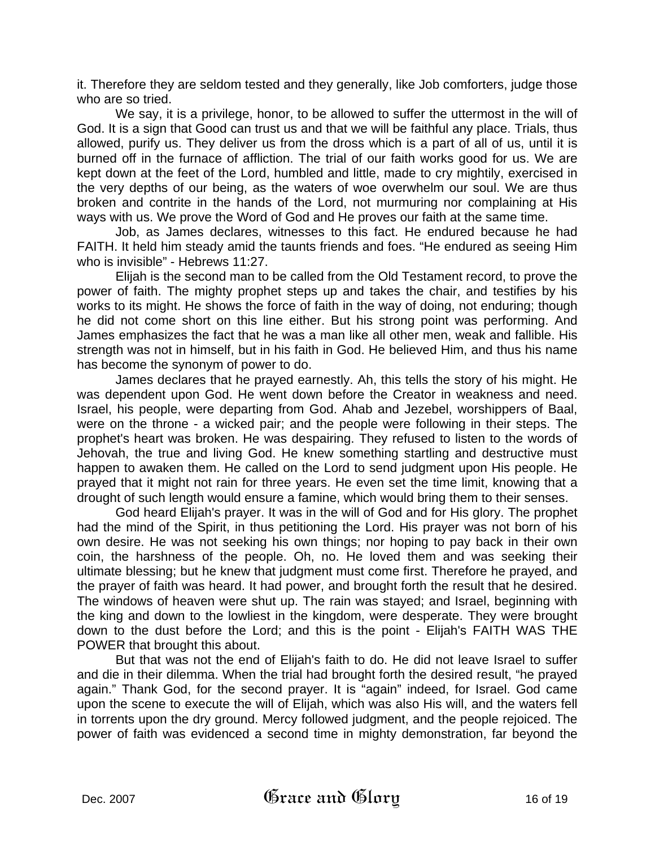it. Therefore they are seldom tested and they generally, like Job comforters, judge those who are so tried.

We say, it is a privilege, honor, to be allowed to suffer the uttermost in the will of God. It is a sign that Good can trust us and that we will be faithful any place. Trials, thus allowed, purify us. They deliver us from the dross which is a part of all of us, until it is burned off in the furnace of affliction. The trial of our faith works good for us. We are kept down at the feet of the Lord, humbled and little, made to cry mightily, exercised in the very depths of our being, as the waters of woe overwhelm our soul. We are thus broken and contrite in the hands of the Lord, not murmuring nor complaining at His ways with us. We prove the Word of God and He proves our faith at the same time.

Job, as James declares, witnesses to this fact. He endured because he had FAITH. It held him steady amid the taunts friends and foes. "He endured as seeing Him who is invisible" - Hebrews 11:27.

Elijah is the second man to be called from the Old Testament record, to prove the power of faith. The mighty prophet steps up and takes the chair, and testifies by his works to its might. He shows the force of faith in the way of doing, not enduring; though he did not come short on this line either. But his strong point was performing. And James emphasizes the fact that he was a man like all other men, weak and fallible. His strength was not in himself, but in his faith in God. He believed Him, and thus his name has become the synonym of power to do.

James declares that he prayed earnestly. Ah, this tells the story of his might. He was dependent upon God. He went down before the Creator in weakness and need. Israel, his people, were departing from God. Ahab and Jezebel, worshippers of Baal, were on the throne - a wicked pair; and the people were following in their steps. The prophet's heart was broken. He was despairing. They refused to listen to the words of Jehovah, the true and living God. He knew something startling and destructive must happen to awaken them. He called on the Lord to send judgment upon His people. He prayed that it might not rain for three years. He even set the time limit, knowing that a drought of such length would ensure a famine, which would bring them to their senses.

God heard Elijah's prayer. It was in the will of God and for His glory. The prophet had the mind of the Spirit, in thus petitioning the Lord. His prayer was not born of his own desire. He was not seeking his own things; nor hoping to pay back in their own coin, the harshness of the people. Oh, no. He loved them and was seeking their ultimate blessing; but he knew that judgment must come first. Therefore he prayed, and the prayer of faith was heard. It had power, and brought forth the result that he desired. The windows of heaven were shut up. The rain was stayed; and Israel, beginning with the king and down to the lowliest in the kingdom, were desperate. They were brought down to the dust before the Lord; and this is the point - Elijah's FAITH WAS THE POWER that brought this about.

But that was not the end of Elijah's faith to do. He did not leave Israel to suffer and die in their dilemma. When the trial had brought forth the desired result, "he prayed again." Thank God, for the second prayer. It is "again" indeed, for Israel. God came upon the scene to execute the will of Elijah, which was also His will, and the waters fell in torrents upon the dry ground. Mercy followed judgment, and the people rejoiced. The power of faith was evidenced a second time in mighty demonstration, far beyond the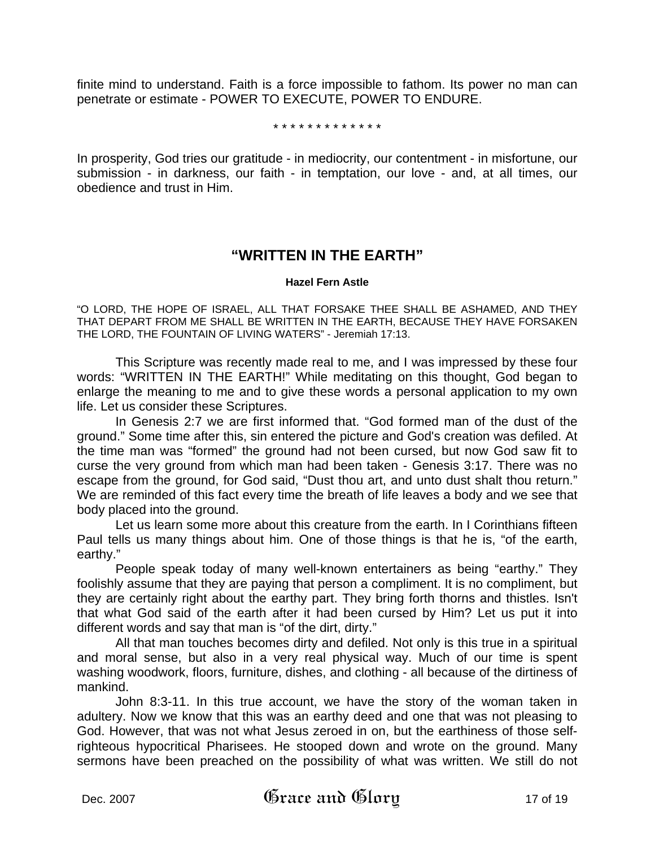finite mind to understand. Faith is a force impossible to fathom. Its power no man can penetrate or estimate - POWER TO EXECUTE, POWER TO ENDURE.

#### \* \* \* \* \* \* \* \* \* \* \* \* \*

In prosperity, God tries our gratitude - in mediocrity, our contentment - in misfortune, our submission - in darkness, our faith - in temptation, our love - and, at all times, our obedience and trust in Him.

## **"WRITTEN IN THE EARTH"**

#### **Hazel Fern Astle**

"O LORD, THE HOPE OF ISRAEL, ALL THAT FORSAKE THEE SHALL BE ASHAMED, AND THEY THAT DEPART FROM ME SHALL BE WRITTEN IN THE EARTH, BECAUSE THEY HAVE FORSAKEN THE LORD, THE FOUNTAIN OF LIVING WATERS" - Jeremiah 17:13.

This Scripture was recently made real to me, and I was impressed by these four words: "WRITTEN IN THE EARTH!" While meditating on this thought, God began to enlarge the meaning to me and to give these words a personal application to my own life. Let us consider these Scriptures.

In Genesis 2:7 we are first informed that. "God formed man of the dust of the ground." Some time after this, sin entered the picture and God's creation was defiled. At the time man was "formed" the ground had not been cursed, but now God saw fit to curse the very ground from which man had been taken - Genesis 3:17. There was no escape from the ground, for God said, "Dust thou art, and unto dust shalt thou return." We are reminded of this fact every time the breath of life leaves a body and we see that body placed into the ground.

Let us learn some more about this creature from the earth. In I Corinthians fifteen Paul tells us many things about him. One of those things is that he is, "of the earth, earthy."

People speak today of many well-known entertainers as being "earthy." They foolishly assume that they are paying that person a compliment. It is no compliment, but they are certainly right about the earthy part. They bring forth thorns and thistles. Isn't that what God said of the earth after it had been cursed by Him? Let us put it into different words and say that man is "of the dirt, dirty."

All that man touches becomes dirty and defiled. Not only is this true in a spiritual and moral sense, but also in a very real physical way. Much of our time is spent washing woodwork, floors, furniture, dishes, and clothing - all because of the dirtiness of mankind.

John 8:3-11. In this true account, we have the story of the woman taken in adultery. Now we know that this was an earthy deed and one that was not pleasing to God. However, that was not what Jesus zeroed in on, but the earthiness of those selfrighteous hypocritical Pharisees. He stooped down and wrote on the ground. Many sermons have been preached on the possibility of what was written. We still do not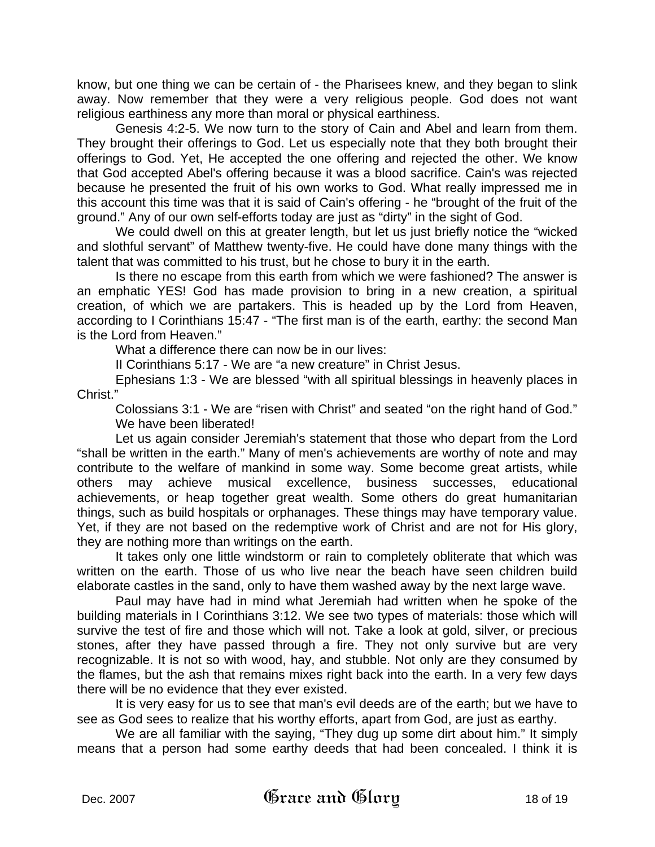know, but one thing we can be certain of - the Pharisees knew, and they began to slink away. Now remember that they were a very religious people. God does not want religious earthiness any more than moral or physical earthiness.

Genesis 4:2-5. We now turn to the story of Cain and Abel and learn from them. They brought their offerings to God. Let us especially note that they both brought their offerings to God. Yet, He accepted the one offering and rejected the other. We know that God accepted Abel's offering because it was a blood sacrifice. Cain's was rejected because he presented the fruit of his own works to God. What really impressed me in this account this time was that it is said of Cain's offering - he "brought of the fruit of the ground." Any of our own self-efforts today are just as "dirty" in the sight of God.

We could dwell on this at greater length, but let us just briefly notice the "wicked and slothful servant" of Matthew twenty-five. He could have done many things with the talent that was committed to his trust, but he chose to bury it in the earth.

Is there no escape from this earth from which we were fashioned? The answer is an emphatic YES! God has made provision to bring in a new creation, a spiritual creation, of which we are partakers. This is headed up by the Lord from Heaven, according to I Corinthians 15:47 - "The first man is of the earth, earthy: the second Man is the Lord from Heaven."

What a difference there can now be in our lives:

II Corinthians 5:17 - We are "a new creature" in Christ Jesus.

Ephesians 1:3 - We are blessed "with all spiritual blessings in heavenly places in Christ."

Colossians 3:1 - We are "risen with Christ" and seated "on the right hand of God." We have been liberated!

Let us again consider Jeremiah's statement that those who depart from the Lord "shall be written in the earth." Many of men's achievements are worthy of note and may contribute to the welfare of mankind in some way. Some become great artists, while others may achieve musical excellence, business successes, educational achievements, or heap together great wealth. Some others do great humanitarian things, such as build hospitals or orphanages. These things may have temporary value. Yet, if they are not based on the redemptive work of Christ and are not for His glory, they are nothing more than writings on the earth.

It takes only one little windstorm or rain to completely obliterate that which was written on the earth. Those of us who live near the beach have seen children build elaborate castles in the sand, only to have them washed away by the next large wave.

Paul may have had in mind what Jeremiah had written when he spoke of the building materials in I Corinthians 3:12. We see two types of materials: those which will survive the test of fire and those which will not. Take a look at gold, silver, or precious stones, after they have passed through a fire. They not only survive but are very recognizable. It is not so with wood, hay, and stubble. Not only are they consumed by the flames, but the ash that remains mixes right back into the earth. In a very few days there will be no evidence that they ever existed.

It is very easy for us to see that man's evil deeds are of the earth; but we have to see as God sees to realize that his worthy efforts, apart from God, are just as earthy.

We are all familiar with the saying, "They dug up some dirt about him." It simply means that a person had some earthy deeds that had been concealed. I think it is